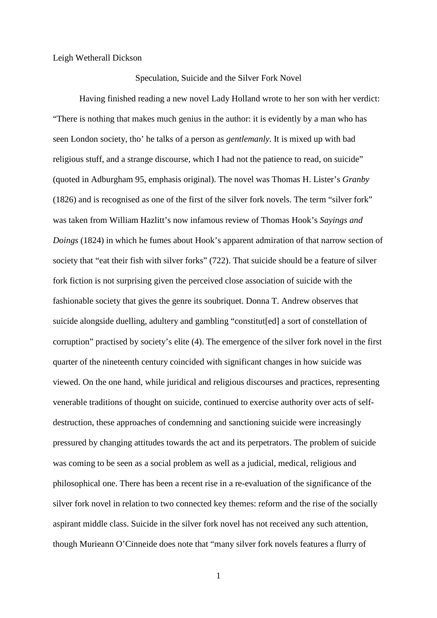## Leigh Wetherall Dickson

## Speculation, Suicide and the Silver Fork Novel

Having finished reading a new novel Lady Holland wrote to her son with her verdict: "There is nothing that makes much genius in the author: it is evidently by a man who has seen London society, tho' he talks of a person as *gentlemanly*. It is mixed up with bad religious stuff, and a strange discourse, which I had not the patience to read, on suicide" (quoted in Adburgham 95, emphasis original). The novel was Thomas H. Lister's *Granby* (1826) and is recognised as one of the first of the silver fork novels. The term "silver fork" was taken from William Hazlitt's now infamous review of Thomas Hook's *Sayings and Doings* (1824) in which he fumes about Hook's apparent admiration of that narrow section of society that "eat their fish with silver forks" (722). That suicide should be a feature of silver fork fiction is not surprising given the perceived close association of suicide with the fashionable society that gives the genre its soubriquet. Donna T. Andrew observes that suicide alongside duelling, adultery and gambling "constitut[ed] a sort of constellation of corruption" practised by society's elite (4). The emergence of the silver fork novel in the first quarter of the nineteenth century coincided with significant changes in how suicide was viewed. On the one hand, while juridical and religious discourses and practices, representing venerable traditions of thought on suicide, continued to exercise authority over acts of selfdestruction, these approaches of condemning and sanctioning suicide were increasingly pressured by changing attitudes towards the act and its perpetrators. The problem of suicide was coming to be seen as a social problem as well as a judicial, medical, religious and philosophical one. There has been a recent rise in a re-evaluation of the significance of the silver fork novel in relation to two connected key themes: reform and the rise of the socially aspirant middle class. Suicide in the silver fork novel has not received any such attention, though Murieann O'Cinneide does note that "many silver fork novels features a flurry of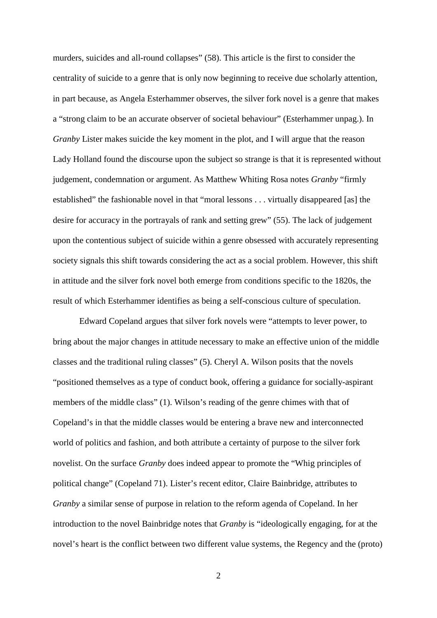murders, suicides and all-round collapses" (58). This article is the first to consider the centrality of suicide to a genre that is only now beginning to receive due scholarly attention, in part because, as Angela Esterhammer observes, the silver fork novel is a genre that makes a "strong claim to be an accurate observer of societal behaviour" (Esterhammer unpag.). In *Granby* Lister makes suicide the key moment in the plot, and I will argue that the reason Lady Holland found the discourse upon the subject so strange is that it is represented without judgement, condemnation or argument. As Matthew Whiting Rosa notes *Granby* "firmly established" the fashionable novel in that "moral lessons . . . virtually disappeared [as] the desire for accuracy in the portrayals of rank and setting grew" (55). The lack of judgement upon the contentious subject of suicide within a genre obsessed with accurately representing society signals this shift towards considering the act as a social problem. However, this shift in attitude and the silver fork novel both emerge from conditions specific to the 1820s, the result of which Esterhammer identifies as being a self-conscious culture of speculation.

Edward Copeland argues that silver fork novels were "attempts to lever power, to bring about the major changes in attitude necessary to make an effective union of the middle classes and the traditional ruling classes" (5). Cheryl A. Wilson posits that the novels "positioned themselves as a type of conduct book, offering a guidance for socially-aspirant members of the middle class" (1). Wilson's reading of the genre chimes with that of Copeland's in that the middle classes would be entering a brave new and interconnected world of politics and fashion, and both attribute a certainty of purpose to the silver fork novelist. On the surface *Granby* does indeed appear to promote the "Whig principles of political change" (Copeland 71). Lister's recent editor, Claire Bainbridge, attributes to *Granby* a similar sense of purpose in relation to the reform agenda of Copeland. In her introduction to the novel Bainbridge notes that *Granby* is "ideologically engaging, for at the novel's heart is the conflict between two different value systems, the Regency and the (proto)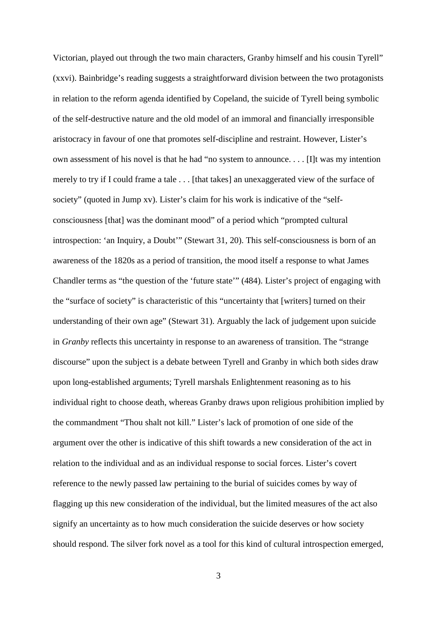Victorian, played out through the two main characters, Granby himself and his cousin Tyrell" (xxvi). Bainbridge's reading suggests a straightforward division between the two protagonists in relation to the reform agenda identified by Copeland, the suicide of Tyrell being symbolic of the self-destructive nature and the old model of an immoral and financially irresponsible aristocracy in favour of one that promotes self-discipline and restraint. However, Lister's own assessment of his novel is that he had "no system to announce. . . . [I]t was my intention merely to try if I could frame a tale . . . [that takes] an unexaggerated view of the surface of society" (quoted in Jump xv). Lister's claim for his work is indicative of the "selfconsciousness [that] was the dominant mood" of a period which "prompted cultural introspection: 'an Inquiry, a Doubt'" (Stewart 31, 20). This self-consciousness is born of an awareness of the 1820s as a period of transition, the mood itself a response to what James Chandler terms as "the question of the 'future state'" (484). Lister's project of engaging with the "surface of society" is characteristic of this "uncertainty that [writers] turned on their understanding of their own age" (Stewart 31). Arguably the lack of judgement upon suicide in *Granby* reflects this uncertainty in response to an awareness of transition. The "strange discourse" upon the subject is a debate between Tyrell and Granby in which both sides draw upon long-established arguments; Tyrell marshals Enlightenment reasoning as to his individual right to choose death, whereas Granby draws upon religious prohibition implied by the commandment "Thou shalt not kill." Lister's lack of promotion of one side of the argument over the other is indicative of this shift towards a new consideration of the act in relation to the individual and as an individual response to social forces. Lister's covert reference to the newly passed law pertaining to the burial of suicides comes by way of flagging up this new consideration of the individual, but the limited measures of the act also signify an uncertainty as to how much consideration the suicide deserves or how society should respond. The silver fork novel as a tool for this kind of cultural introspection emerged,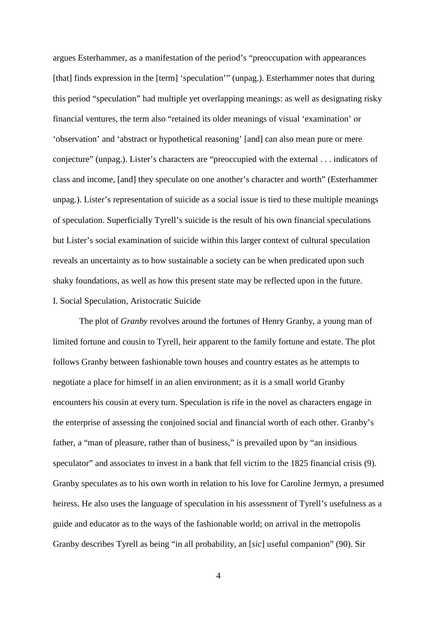argues Esterhammer, as a manifestation of the period's "preoccupation with appearances [that] finds expression in the [term] 'speculation'" (unpag.). Esterhammer notes that during this period "speculation" had multiple yet overlapping meanings: as well as designating risky financial ventures, the term also "retained its older meanings of visual 'examination' or 'observation' and 'abstract or hypothetical reasoning' [and] can also mean pure or mere conjecture" (unpag.). Lister's characters are "preoccupied with the external . . . indicators of class and income, [and] they speculate on one another's character and worth" (Esterhammer unpag.). Lister's representation of suicide as a social issue is tied to these multiple meanings of speculation. Superficially Tyrell's suicide is the result of his own financial speculations but Lister's social examination of suicide within this larger context of cultural speculation reveals an uncertainty as to how sustainable a society can be when predicated upon such shaky foundations, as well as how this present state may be reflected upon in the future. I. Social Speculation, Aristocratic Suicide

The plot of *Granby* revolves around the fortunes of Henry Granby, a young man of limited fortune and cousin to Tyrell, heir apparent to the family fortune and estate. The plot follows Granby between fashionable town houses and country estates as he attempts to negotiate a place for himself in an alien environment; as it is a small world Granby encounters his cousin at every turn. Speculation is rife in the novel as characters engage in the enterprise of assessing the conjoined social and financial worth of each other. Granby's father, a "man of pleasure, rather than of business," is prevailed upon by "an insidious speculator" and associates to invest in a bank that fell victim to the 1825 financial crisis (9). Granby speculates as to his own worth in relation to his love for Caroline Jermyn, a presumed heiress. He also uses the language of speculation in his assessment of Tyrell's usefulness as a guide and educator as to the ways of the fashionable world; on arrival in the metropolis Granby describes Tyrell as being "in all probability, an [*sic*] useful companion" (90). Sir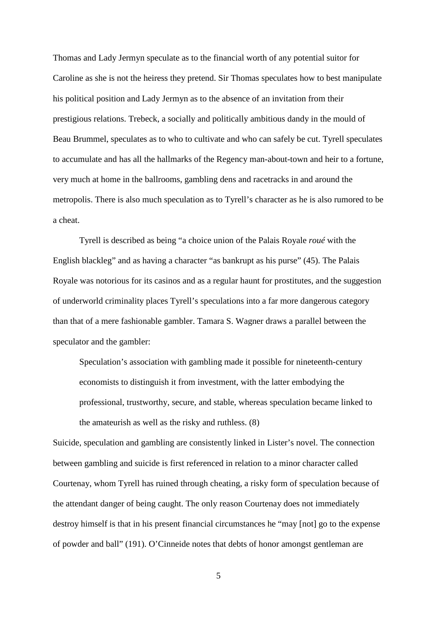Thomas and Lady Jermyn speculate as to the financial worth of any potential suitor for Caroline as she is not the heiress they pretend. Sir Thomas speculates how to best manipulate his political position and Lady Jermyn as to the absence of an invitation from their prestigious relations. Trebeck, a socially and politically ambitious dandy in the mould of Beau Brummel, speculates as to who to cultivate and who can safely be cut. Tyrell speculates to accumulate and has all the hallmarks of the Regency man-about-town and heir to a fortune, very much at home in the ballrooms, gambling dens and racetracks in and around the metropolis. There is also much speculation as to Tyrell's character as he is also rumored to be a cheat.

Tyrell is described as being "a choice union of the Palais Royale *roué* with the English blackleg" and as having a character "as bankrupt as his purse" (45). The Palais Royale was notorious for its casinos and as a regular haunt for prostitutes, and the suggestion of underworld criminality places Tyrell's speculations into a far more dangerous category than that of a mere fashionable gambler. Tamara S. Wagner draws a parallel between the speculator and the gambler:

Speculation's association with gambling made it possible for nineteenth-century economists to distinguish it from investment, with the latter embodying the professional, trustworthy, secure, and stable, whereas speculation became linked to the amateurish as well as the risky and ruthless. (8)

Suicide, speculation and gambling are consistently linked in Lister's novel. The connection between gambling and suicide is first referenced in relation to a minor character called Courtenay, whom Tyrell has ruined through cheating, a risky form of speculation because of the attendant danger of being caught. The only reason Courtenay does not immediately destroy himself is that in his present financial circumstances he "may [not] go to the expense of powder and ball" (191). O'Cinneide notes that debts of honor amongst gentleman are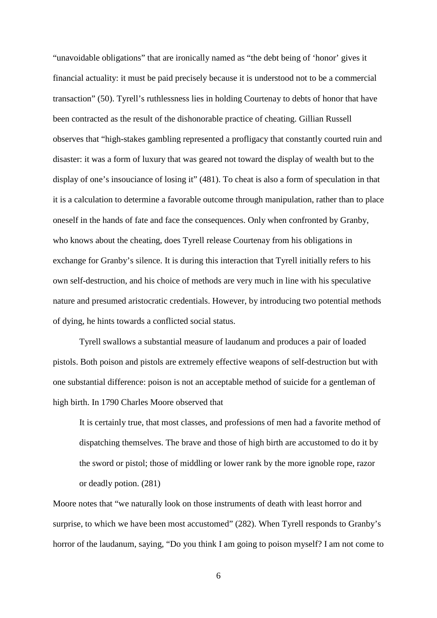"unavoidable obligations" that are ironically named as "the debt being of 'honor' gives it financial actuality: it must be paid precisely because it is understood not to be a commercial transaction" (50). Tyrell's ruthlessness lies in holding Courtenay to debts of honor that have been contracted as the result of the dishonorable practice of cheating. Gillian Russell observes that "high-stakes gambling represented a profligacy that constantly courted ruin and disaster: it was a form of luxury that was geared not toward the display of wealth but to the display of one's insouciance of losing it" (481). To cheat is also a form of speculation in that it is a calculation to determine a favorable outcome through manipulation, rather than to place oneself in the hands of fate and face the consequences. Only when confronted by Granby, who knows about the cheating, does Tyrell release Courtenay from his obligations in exchange for Granby's silence. It is during this interaction that Tyrell initially refers to his own self-destruction, and his choice of methods are very much in line with his speculative nature and presumed aristocratic credentials. However, by introducing two potential methods of dying, he hints towards a conflicted social status.

Tyrell swallows a substantial measure of laudanum and produces a pair of loaded pistols. Both poison and pistols are extremely effective weapons of self-destruction but with one substantial difference: poison is not an acceptable method of suicide for a gentleman of high birth. In 1790 Charles Moore observed that

It is certainly true, that most classes, and professions of men had a favorite method of dispatching themselves. The brave and those of high birth are accustomed to do it by the sword or pistol; those of middling or lower rank by the more ignoble rope, razor or deadly potion. (281)

Moore notes that "we naturally look on those instruments of death with least horror and surprise, to which we have been most accustomed" (282). When Tyrell responds to Granby's horror of the laudanum, saying, "Do you think I am going to poison myself? I am not come to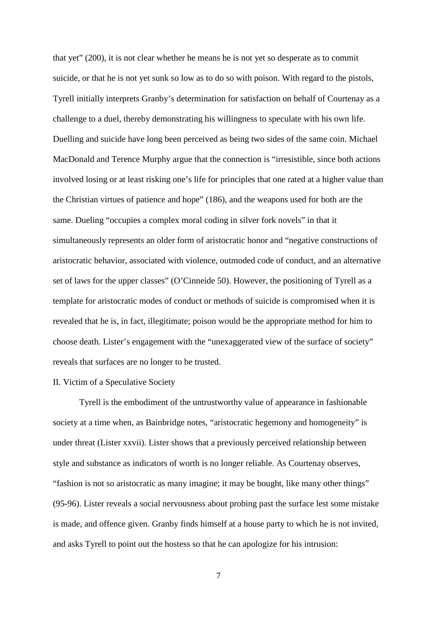that yet" (200), it is not clear whether he means he is not yet so desperate as to commit suicide, or that he is not yet sunk so low as to do so with poison. With regard to the pistols, Tyrell initially interprets Granby's determination for satisfaction on behalf of Courtenay as a challenge to a duel, thereby demonstrating his willingness to speculate with his own life. Duelling and suicide have long been perceived as being two sides of the same coin. Michael MacDonald and Terence Murphy argue that the connection is "irresistible, since both actions involved losing or at least risking one's life for principles that one rated at a higher value than the Christian virtues of patience and hope" (186), and the weapons used for both are the same. Dueling "occupies a complex moral coding in silver fork novels" in that it simultaneously represents an older form of aristocratic honor and "negative constructions of aristocratic behavior, associated with violence, outmoded code of conduct, and an alternative set of laws for the upper classes" (O'Cinneide 50). However, the positioning of Tyrell as a template for aristocratic modes of conduct or methods of suicide is compromised when it is revealed that he is, in fact, illegitimate; poison would be the appropriate method for him to choose death. Lister's engagement with the "unexaggerated view of the surface of society" reveals that surfaces are no longer to be trusted.

## II. Victim of a Speculative Society

Tyrell is the embodiment of the untrustworthy value of appearance in fashionable society at a time when, as Bainbridge notes, "aristocratic hegemony and homogeneity" is under threat (Lister xxvii). Lister shows that a previously perceived relationship between style and substance as indicators of worth is no longer reliable. As Courtenay observes, "fashion is not so aristocratic as many imagine; it may be bought, like many other things" (95-96). Lister reveals a social nervousness about probing past the surface lest some mistake is made, and offence given. Granby finds himself at a house party to which he is not invited, and asks Tyrell to point out the hostess so that he can apologize for his intrusion: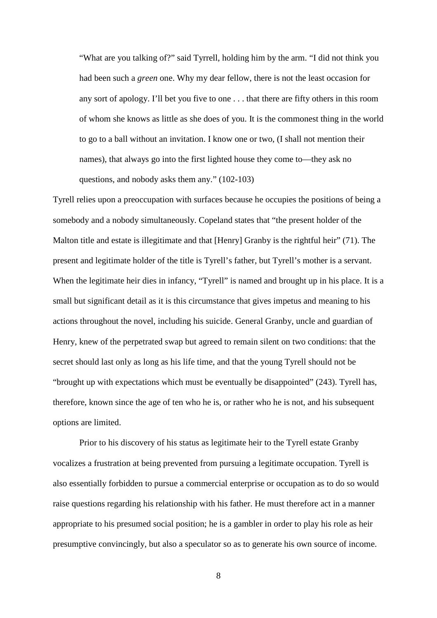"What are you talking of?" said Tyrrell, holding him by the arm. "I did not think you had been such a *green* one. Why my dear fellow, there is not the least occasion for any sort of apology. I'll bet you five to one . . . that there are fifty others in this room of whom she knows as little as she does of you. It is the commonest thing in the world to go to a ball without an invitation. I know one or two, (I shall not mention their names), that always go into the first lighted house they come to—they ask no questions, and nobody asks them any." (102-103)

Tyrell relies upon a preoccupation with surfaces because he occupies the positions of being a somebody and a nobody simultaneously. Copeland states that "the present holder of the Malton title and estate is illegitimate and that [Henry] Granby is the rightful heir" (71). The present and legitimate holder of the title is Tyrell's father, but Tyrell's mother is a servant. When the legitimate heir dies in infancy, "Tyrell" is named and brought up in his place. It is a small but significant detail as it is this circumstance that gives impetus and meaning to his actions throughout the novel, including his suicide. General Granby, uncle and guardian of Henry, knew of the perpetrated swap but agreed to remain silent on two conditions: that the secret should last only as long as his life time, and that the young Tyrell should not be "brought up with expectations which must be eventually be disappointed" (243). Tyrell has, therefore, known since the age of ten who he is, or rather who he is not, and his subsequent options are limited.

Prior to his discovery of his status as legitimate heir to the Tyrell estate Granby vocalizes a frustration at being prevented from pursuing a legitimate occupation. Tyrell is also essentially forbidden to pursue a commercial enterprise or occupation as to do so would raise questions regarding his relationship with his father. He must therefore act in a manner appropriate to his presumed social position; he is a gambler in order to play his role as heir presumptive convincingly, but also a speculator so as to generate his own source of income.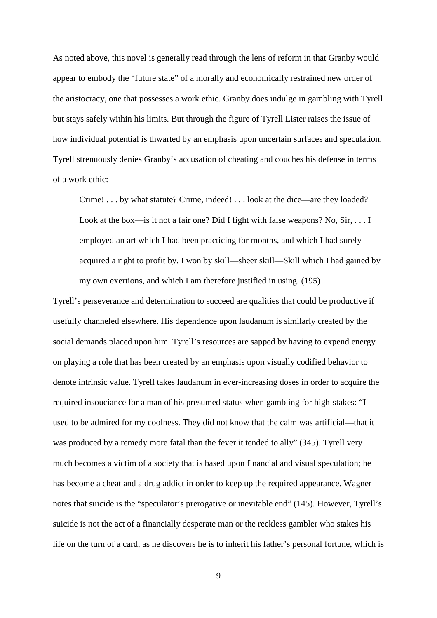As noted above, this novel is generally read through the lens of reform in that Granby would appear to embody the "future state" of a morally and economically restrained new order of the aristocracy, one that possesses a work ethic. Granby does indulge in gambling with Tyrell but stays safely within his limits. But through the figure of Tyrell Lister raises the issue of how individual potential is thwarted by an emphasis upon uncertain surfaces and speculation. Tyrell strenuously denies Granby's accusation of cheating and couches his defense in terms of a work ethic:

Crime! . . . by what statute? Crime, indeed! . . . look at the dice—are they loaded? Look at the box—is it not a fair one? Did I fight with false weapons? No, Sir, . . . I employed an art which I had been practicing for months, and which I had surely acquired a right to profit by. I won by skill—sheer skill—Skill which I had gained by my own exertions, and which I am therefore justified in using. (195)

Tyrell's perseverance and determination to succeed are qualities that could be productive if usefully channeled elsewhere. His dependence upon laudanum is similarly created by the social demands placed upon him. Tyrell's resources are sapped by having to expend energy on playing a role that has been created by an emphasis upon visually codified behavior to denote intrinsic value. Tyrell takes laudanum in ever-increasing doses in order to acquire the required insouciance for a man of his presumed status when gambling for high-stakes: "I used to be admired for my coolness. They did not know that the calm was artificial—that it was produced by a remedy more fatal than the fever it tended to ally" (345). Tyrell very much becomes a victim of a society that is based upon financial and visual speculation; he has become a cheat and a drug addict in order to keep up the required appearance. Wagner notes that suicide is the "speculator's prerogative or inevitable end" (145). However, Tyrell's suicide is not the act of a financially desperate man or the reckless gambler who stakes his life on the turn of a card, as he discovers he is to inherit his father's personal fortune, which is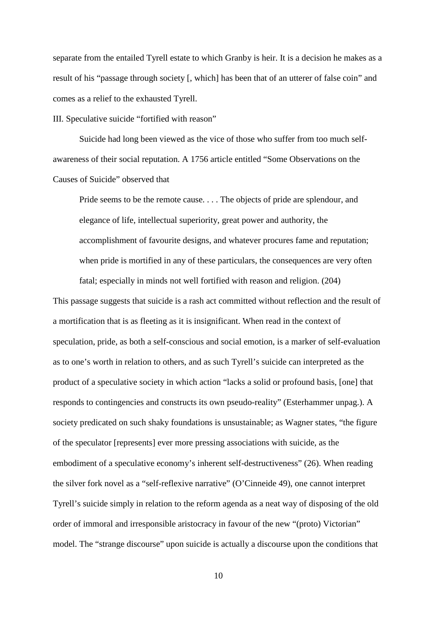separate from the entailed Tyrell estate to which Granby is heir. It is a decision he makes as a result of his "passage through society [, which] has been that of an utterer of false coin" and comes as a relief to the exhausted Tyrell.

III. Speculative suicide "fortified with reason"

Suicide had long been viewed as the vice of those who suffer from too much selfawareness of their social reputation. A 1756 article entitled "Some Observations on the Causes of Suicide" observed that

Pride seems to be the remote cause. . . . The objects of pride are splendour, and elegance of life, intellectual superiority, great power and authority, the accomplishment of favourite designs, and whatever procures fame and reputation; when pride is mortified in any of these particulars, the consequences are very often fatal; especially in minds not well fortified with reason and religion. (204)

This passage suggests that suicide is a rash act committed without reflection and the result of a mortification that is as fleeting as it is insignificant. When read in the context of speculation, pride, as both a self-conscious and social emotion, is a marker of self-evaluation as to one's worth in relation to others, and as such Tyrell's suicide can interpreted as the product of a speculative society in which action "lacks a solid or profound basis, [one] that responds to contingencies and constructs its own pseudo-reality" (Esterhammer unpag.). A society predicated on such shaky foundations is unsustainable; as Wagner states, "the figure of the speculator [represents] ever more pressing associations with suicide, as the embodiment of a speculative economy's inherent self-destructiveness" (26). When reading the silver fork novel as a "self-reflexive narrative" (O'Cinneide 49), one cannot interpret Tyrell's suicide simply in relation to the reform agenda as a neat way of disposing of the old order of immoral and irresponsible aristocracy in favour of the new "(proto) Victorian" model. The "strange discourse" upon suicide is actually a discourse upon the conditions that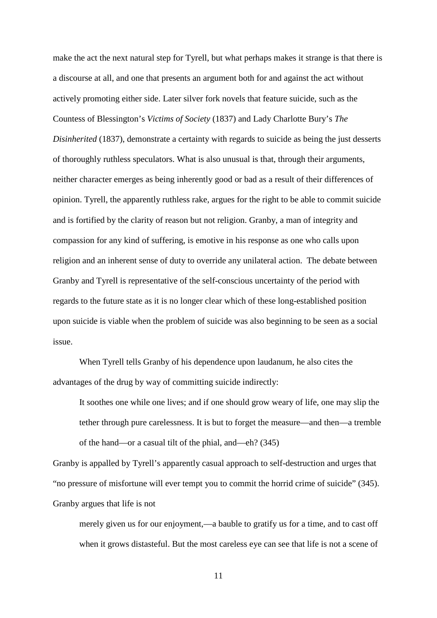make the act the next natural step for Tyrell, but what perhaps makes it strange is that there is a discourse at all, and one that presents an argument both for and against the act without actively promoting either side. Later silver fork novels that feature suicide, such as the Countess of Blessington's *Victims of Society* (1837) and Lady Charlotte Bury's *The Disinherited* (1837), demonstrate a certainty with regards to suicide as being the just desserts of thoroughly ruthless speculators. What is also unusual is that, through their arguments, neither character emerges as being inherently good or bad as a result of their differences of opinion. Tyrell, the apparently ruthless rake, argues for the right to be able to commit suicide and is fortified by the clarity of reason but not religion. Granby, a man of integrity and compassion for any kind of suffering, is emotive in his response as one who calls upon religion and an inherent sense of duty to override any unilateral action. The debate between Granby and Tyrell is representative of the self-conscious uncertainty of the period with regards to the future state as it is no longer clear which of these long-established position upon suicide is viable when the problem of suicide was also beginning to be seen as a social issue.

When Tyrell tells Granby of his dependence upon laudanum, he also cites the advantages of the drug by way of committing suicide indirectly:

It soothes one while one lives; and if one should grow weary of life, one may slip the tether through pure carelessness. It is but to forget the measure—and then—a tremble of the hand—or a casual tilt of the phial, and—eh? (345)

Granby is appalled by Tyrell's apparently casual approach to self-destruction and urges that "no pressure of misfortune will ever tempt you to commit the horrid crime of suicide" (345). Granby argues that life is not

merely given us for our enjoyment,—a bauble to gratify us for a time, and to cast off when it grows distasteful. But the most careless eye can see that life is not a scene of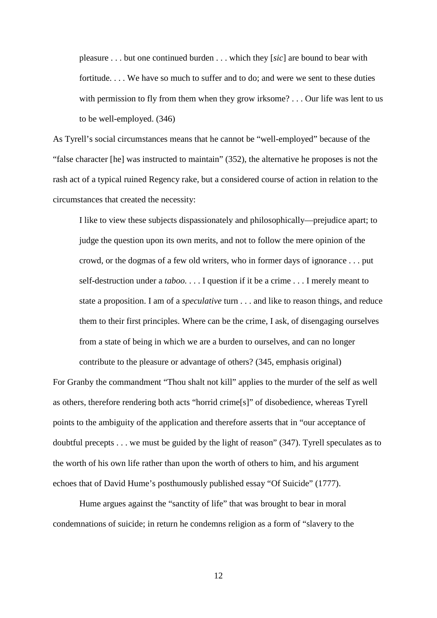pleasure . . . but one continued burden . . . which they [*sic*] are bound to bear with fortitude. . . . We have so much to suffer and to do; and were we sent to these duties with permission to fly from them when they grow irksome? . . . Our life was lent to us to be well-employed. (346)

As Tyrell's social circumstances means that he cannot be "well-employed" because of the "false character [he] was instructed to maintain" (352), the alternative he proposes is not the rash act of a typical ruined Regency rake, but a considered course of action in relation to the circumstances that created the necessity:

I like to view these subjects dispassionately and philosophically—prejudice apart; to judge the question upon its own merits, and not to follow the mere opinion of the crowd, or the dogmas of a few old writers, who in former days of ignorance . . . put self-destruction under a *taboo.* . . . I question if it be a crime . . . I merely meant to state a proposition. I am of a *speculative* turn . . . and like to reason things, and reduce them to their first principles. Where can be the crime, I ask, of disengaging ourselves from a state of being in which we are a burden to ourselves, and can no longer

For Granby the commandment "Thou shalt not kill" applies to the murder of the self as well as others, therefore rendering both acts "horrid crime[s]" of disobedience, whereas Tyrell points to the ambiguity of the application and therefore asserts that in "our acceptance of doubtful precepts . . . we must be guided by the light of reason" (347). Tyrell speculates as to the worth of his own life rather than upon the worth of others to him, and his argument echoes that of David Hume's posthumously published essay "Of Suicide" (1777).

contribute to the pleasure or advantage of others? (345, emphasis original)

Hume argues against the "sanctity of life" that was brought to bear in moral condemnations of suicide; in return he condemns religion as a form of "slavery to the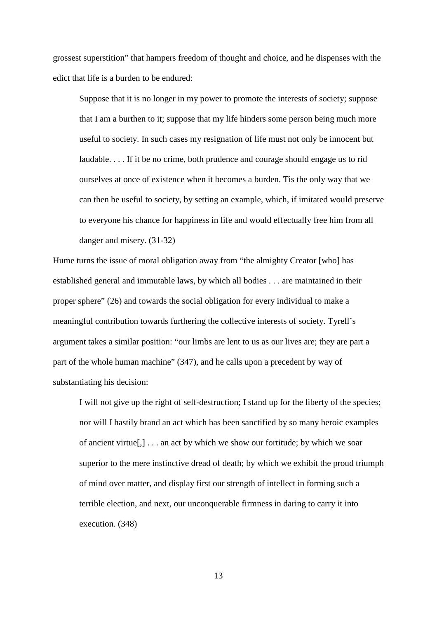grossest superstition" that hampers freedom of thought and choice, and he dispenses with the edict that life is a burden to be endured:

Suppose that it is no longer in my power to promote the interests of society; suppose that I am a burthen to it; suppose that my life hinders some person being much more useful to society. In such cases my resignation of life must not only be innocent but laudable. . . . If it be no crime, both prudence and courage should engage us to rid ourselves at once of existence when it becomes a burden. Tis the only way that we can then be useful to society, by setting an example, which, if imitated would preserve to everyone his chance for happiness in life and would effectually free him from all danger and misery. (31-32)

Hume turns the issue of moral obligation away from "the almighty Creator [who] has established general and immutable laws, by which all bodies . . . are maintained in their proper sphere" (26) and towards the social obligation for every individual to make a meaningful contribution towards furthering the collective interests of society. Tyrell's argument takes a similar position: "our limbs are lent to us as our lives are; they are part a part of the whole human machine" (347), and he calls upon a precedent by way of substantiating his decision:

I will not give up the right of self-destruction; I stand up for the liberty of the species; nor will I hastily brand an act which has been sanctified by so many heroic examples of ancient virtue[,] . . . an act by which we show our fortitude; by which we soar superior to the mere instinctive dread of death; by which we exhibit the proud triumph of mind over matter, and display first our strength of intellect in forming such a terrible election, and next, our unconquerable firmness in daring to carry it into execution. (348)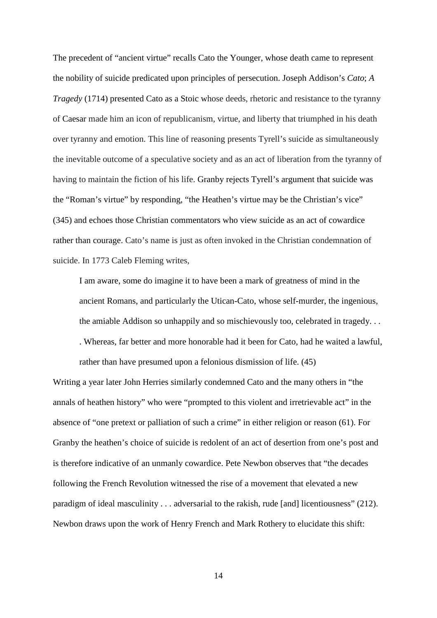The precedent of "ancient virtue" recalls Cato the Younger, whose death came to represent the nobility of suicide predicated upon principles of persecution. Joseph Addison's *Cato*; *A Tragedy* (1714) presented Cato as a Stoic whose deeds, rhetoric and resistance to the tyranny of Caesar made him an icon of republicanism, virtue, and liberty that triumphed in his death over tyranny and emotion. This line of reasoning presents Tyrell's suicide as simultaneously the inevitable outcome of a speculative society and as an act of liberation from the tyranny of having to maintain the fiction of his life. Granby rejects Tyrell's argument that suicide was the "Roman's virtue" by responding, "the Heathen's virtue may be the Christian's vice" (345) and echoes those Christian commentators who view suicide as an act of cowardice rather than courage. Cato's name is just as often invoked in the Christian condemnation of suicide. In 1773 Caleb Fleming writes,

I am aware, some do imagine it to have been a mark of greatness of mind in the ancient Romans, and particularly the Utican-Cato, whose self-murder, the ingenious, the amiable Addison so unhappily and so mischievously too, celebrated in tragedy. . . . Whereas, far better and more honorable had it been for Cato, had he waited a lawful, rather than have presumed upon a felonious dismission of life. (45)

Writing a year later John Herries similarly condemned Cato and the many others in "the annals of heathen history" who were "prompted to this violent and irretrievable act" in the absence of "one pretext or palliation of such a crime" in either religion or reason (61). For Granby the heathen's choice of suicide is redolent of an act of desertion from one's post and is therefore indicative of an unmanly cowardice. Pete Newbon observes that "the decades following the French Revolution witnessed the rise of a movement that elevated a new paradigm of ideal masculinity . . . adversarial to the rakish, rude [and] licentiousness" (212). Newbon draws upon the work of Henry French and Mark Rothery to elucidate this shift: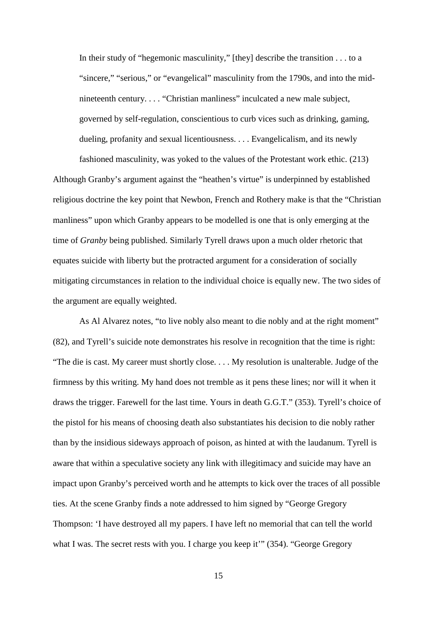In their study of "hegemonic masculinity," [they] describe the transition . . . to a "sincere," "serious," or "evangelical" masculinity from the 1790s, and into the midnineteenth century. . . . "Christian manliness" inculcated a new male subject, governed by self-regulation, conscientious to curb vices such as drinking, gaming, dueling, profanity and sexual licentiousness. . . . Evangelicalism, and its newly

fashioned masculinity, was yoked to the values of the Protestant work ethic. (213) Although Granby's argument against the "heathen's virtue" is underpinned by established religious doctrine the key point that Newbon, French and Rothery make is that the "Christian manliness" upon which Granby appears to be modelled is one that is only emerging at the time of *Granby* being published. Similarly Tyrell draws upon a much older rhetoric that equates suicide with liberty but the protracted argument for a consideration of socially mitigating circumstances in relation to the individual choice is equally new. The two sides of the argument are equally weighted.

As Al Alvarez notes, "to live nobly also meant to die nobly and at the right moment" (82), and Tyrell's suicide note demonstrates his resolve in recognition that the time is right: "The die is cast. My career must shortly close. . . . My resolution is unalterable. Judge of the firmness by this writing. My hand does not tremble as it pens these lines; nor will it when it draws the trigger. Farewell for the last time. Yours in death G.G.T." (353). Tyrell's choice of the pistol for his means of choosing death also substantiates his decision to die nobly rather than by the insidious sideways approach of poison, as hinted at with the laudanum. Tyrell is aware that within a speculative society any link with illegitimacy and suicide may have an impact upon Granby's perceived worth and he attempts to kick over the traces of all possible ties. At the scene Granby finds a note addressed to him signed by "George Gregory Thompson: 'I have destroyed all my papers. I have left no memorial that can tell the world what I was. The secret rests with you. I charge you keep it" (354). "George Gregory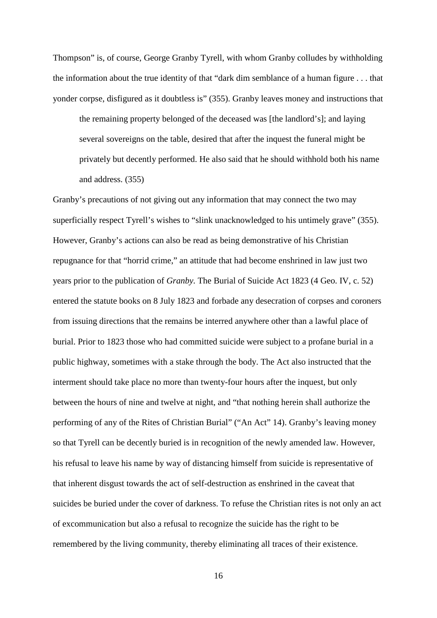Thompson" is, of course, George Granby Tyrell, with whom Granby colludes by withholding the information about the true identity of that "dark dim semblance of a human figure . . . that yonder corpse, disfigured as it doubtless is" (355). Granby leaves money and instructions that

the remaining property belonged of the deceased was [the landlord's]; and laying several sovereigns on the table, desired that after the inquest the funeral might be privately but decently performed. He also said that he should withhold both his name and address. (355)

Granby's precautions of not giving out any information that may connect the two may superficially respect Tyrell's wishes to "slink unacknowledged to his untimely grave" (355). However, Granby's actions can also be read as being demonstrative of his Christian repugnance for that "horrid crime," an attitude that had become enshrined in law just two years prior to the publication of *Granby.* The Burial of Suicide Act 1823 (4 Geo. IV, c. 52) entered the statute books on 8 July 1823 and forbade any desecration of corpses and coroners from issuing directions that the remains be interred anywhere other than a lawful place of burial. Prior to 1823 those who had committed suicide were subject to a profane burial in a public highway, sometimes with a stake through the body. The Act also instructed that the interment should take place no more than twenty-four hours after the inquest, but only between the hours of nine and twelve at night, and "that nothing herein shall authorize the performing of any of the Rites of Christian Burial" ("An Act" 14). Granby's leaving money so that Tyrell can be decently buried is in recognition of the newly amended law. However, his refusal to leave his name by way of distancing himself from suicide is representative of that inherent disgust towards the act of self-destruction as enshrined in the caveat that suicides be buried under the cover of darkness. To refuse the Christian rites is not only an act of excommunication but also a refusal to recognize the suicide has the right to be remembered by the living community, thereby eliminating all traces of their existence.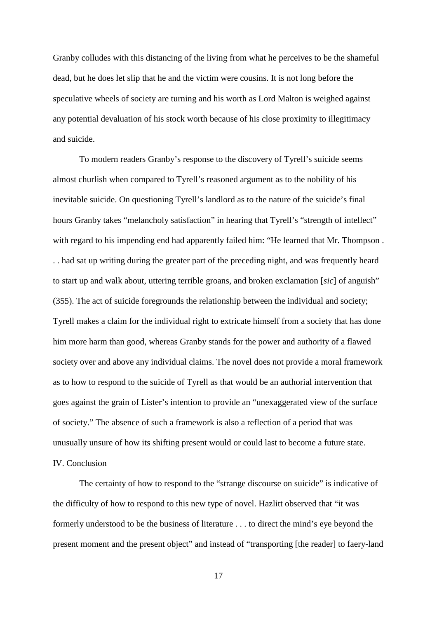Granby colludes with this distancing of the living from what he perceives to be the shameful dead, but he does let slip that he and the victim were cousins. It is not long before the speculative wheels of society are turning and his worth as Lord Malton is weighed against any potential devaluation of his stock worth because of his close proximity to illegitimacy and suicide.

To modern readers Granby's response to the discovery of Tyrell's suicide seems almost churlish when compared to Tyrell's reasoned argument as to the nobility of his inevitable suicide. On questioning Tyrell's landlord as to the nature of the suicide's final hours Granby takes "melancholy satisfaction" in hearing that Tyrell's "strength of intellect" with regard to his impending end had apparently failed him: "He learned that Mr. Thompson. . . had sat up writing during the greater part of the preceding night, and was frequently heard to start up and walk about, uttering terrible groans, and broken exclamation [*sic*] of anguish" (355). The act of suicide foregrounds the relationship between the individual and society; Tyrell makes a claim for the individual right to extricate himself from a society that has done him more harm than good, whereas Granby stands for the power and authority of a flawed society over and above any individual claims. The novel does not provide a moral framework as to how to respond to the suicide of Tyrell as that would be an authorial intervention that goes against the grain of Lister's intention to provide an "unexaggerated view of the surface of society." The absence of such a framework is also a reflection of a period that was unusually unsure of how its shifting present would or could last to become a future state. IV. Conclusion

The certainty of how to respond to the "strange discourse on suicide" is indicative of the difficulty of how to respond to this new type of novel. Hazlitt observed that "it was formerly understood to be the business of literature . . . to direct the mind's eye beyond the present moment and the present object" and instead of "transporting [the reader] to faery-land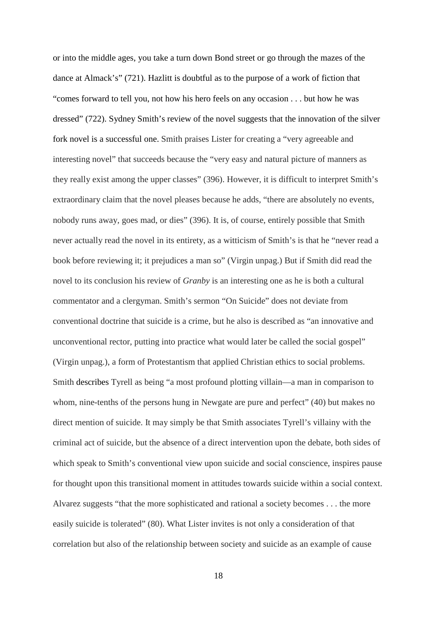or into the middle ages, you take a turn down Bond street or go through the mazes of the dance at Almack's" (721). Hazlitt is doubtful as to the purpose of a work of fiction that "comes forward to tell you, not how his hero feels on any occasion . . . but how he was dressed" (722). Sydney Smith's review of the novel suggests that the innovation of the silver fork novel is a successful one. Smith praises Lister for creating a "very agreeable and interesting novel" that succeeds because the "very easy and natural picture of manners as they really exist among the upper classes" (396). However, it is difficult to interpret Smith's extraordinary claim that the novel pleases because he adds, "there are absolutely no events, nobody runs away, goes mad, or dies" (396). It is, of course, entirely possible that Smith never actually read the novel in its entirety, as a witticism of Smith's is that he "never read a book before reviewing it; it prejudices a man so" (Virgin unpag.) But if Smith did read the novel to its conclusion his review of *Granby* is an interesting one as he is both a cultural commentator and a clergyman. Smith's sermon "On Suicide" does not deviate from conventional doctrine that suicide is a crime, but he also is described as "an innovative and unconventional rector, putting into practice what would later be called the social gospel" (Virgin unpag.), a form of Protestantism that applied Christian ethics to social problems. Smith describes Tyrell as being "a most profound plotting villain—a man in comparison to whom, nine-tenths of the persons hung in Newgate are pure and perfect" (40) but makes no direct mention of suicide. It may simply be that Smith associates Tyrell's villainy with the criminal act of suicide, but the absence of a direct intervention upon the debate, both sides of which speak to Smith's conventional view upon suicide and social conscience, inspires pause for thought upon this transitional moment in attitudes towards suicide within a social context. Alvarez suggests "that the more sophisticated and rational a society becomes . . . the more easily suicide is tolerated" (80). What Lister invites is not only a consideration of that correlation but also of the relationship between society and suicide as an example of cause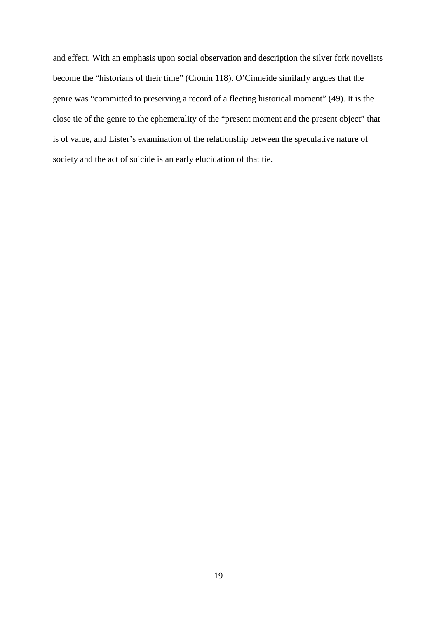and effect. With an emphasis upon social observation and description the silver fork novelists become the "historians of their time" (Cronin 118). O'Cinneide similarly argues that the genre was "committed to preserving a record of a fleeting historical moment" (49). It is the close tie of the genre to the ephemerality of the "present moment and the present object" that is of value, and Lister's examination of the relationship between the speculative nature of society and the act of suicide is an early elucidation of that tie.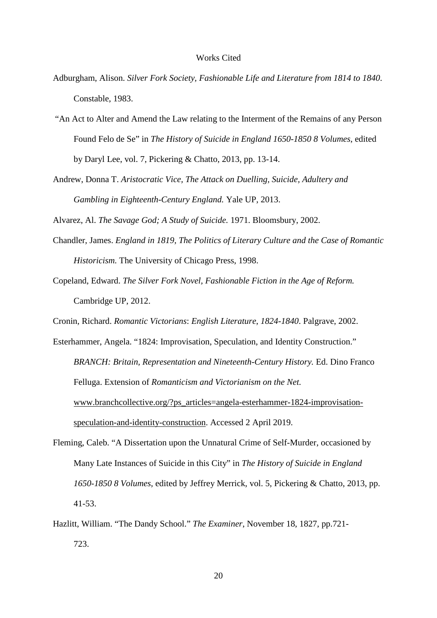## Works Cited

- Adburgham, Alison. *Silver Fork Society, Fashionable Life and Literature from 1814 to 1840*. Constable, 1983.
- "An Act to Alter and Amend the Law relating to the Interment of the Remains of any Person Found Felo de Se" in *The History of Suicide in England 1650-1850 8 Volumes*, edited by Daryl Lee, vol. 7, Pickering & Chatto, 2013, pp. 13-14.
- Andrew, Donna T. *Aristocratic Vice, The Attack on Duelling, Suicide, Adultery and Gambling in Eighteenth-Century England.* Yale UP, 2013.

Alvarez, Al. *The Savage God; A Study of Suicide.* 1971. Bloomsbury, 2002.

- Chandler, James. *England in 1819, The Politics of Literary Culture and the Case of Romantic Historicism.* The University of Chicago Press, 1998.
- Copeland, Edward. *The Silver Fork Novel, Fashionable Fiction in the Age of Reform.*  Cambridge UP, 2012.
- Cronin, Richard. *Romantic Victorians*: *English Literature*, *1824-1840*. Palgrave, 2002.
- Esterhammer, Angela. "1824: Improvisation, Speculation, and Identity Construction." *BRANCH: Britain, Representation and Nineteenth-Century History.* Ed. Dino Franco Felluga. Extension of *Romanticism and Victorianism on the Net.*  [www.branchcollective.org/?ps\\_articles=angela-esterhammer-1824-improvisation](http://www.branchcollective.org/?ps_articles=angela-esterhammer-1824-improvisation-speculation-and-identity-construction)[speculation-and-identity-construction.](http://www.branchcollective.org/?ps_articles=angela-esterhammer-1824-improvisation-speculation-and-identity-construction) Accessed 2 April 2019.
- Fleming, Caleb. "A Dissertation upon the Unnatural Crime of Self-Murder, occasioned by Many Late Instances of Suicide in this City" in *The History of Suicide in England 1650-1850 8 Volumes*, edited by Jeffrey Merrick, vol. 5, Pickering & Chatto, 2013, pp. 41-53.
- Hazlitt, William. "The Dandy School." *The Examiner*, November 18, 1827, pp.721- 723.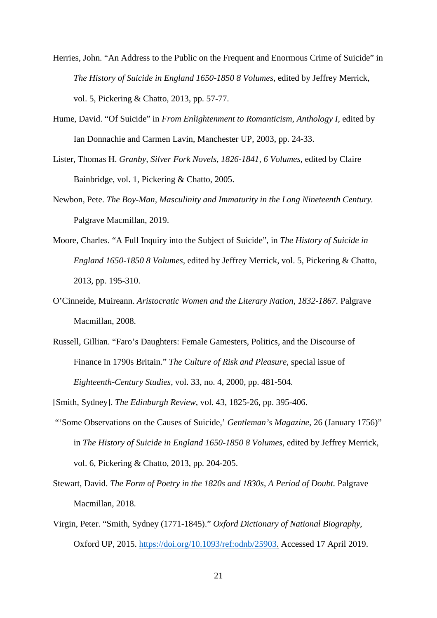- Herries, John. "An Address to the Public on the Frequent and Enormous Crime of Suicide" in *The History of Suicide in England 1650-1850 8 Volumes*, edited by Jeffrey Merrick, vol. 5, Pickering & Chatto, 2013, pp. 57-77.
- Hume, David. "Of Suicide" in *From Enlightenment to Romanticism, Anthology I*, edited by Ian Donnachie and Carmen Lavin, Manchester UP, 2003, pp. 24-33.
- Lister, Thomas H. *Granby, Silver Fork Novels*, *1826-1841, 6 Volumes*, edited by Claire Bainbridge, vol. 1, Pickering & Chatto, 2005.
- Newbon, Pete. *The Boy-Man, Masculinity and Immaturity in the Long Nineteenth Century.*  Palgrave Macmillan, 2019.
- Moore, Charles. "A Full Inquiry into the Subject of Suicide", in *The History of Suicide in England 1650-1850 8 Volumes*, edited by Jeffrey Merrick, vol. 5, Pickering & Chatto, 2013, pp. 195-310.
- O'Cinneide, Muireann. *Aristocratic Women and the Literary Nation*, *1832-1867.* Palgrave Macmillan, 2008.
- Russell, Gillian. "Faro's Daughters: Female Gamesters, Politics, and the Discourse of Finance in 1790s Britain." *The Culture of Risk and Pleasure*, special issue of *Eighteenth-Century Studies*, vol. 33, no. 4, 2000, pp. 481-504.

[Smith, Sydney]. *The Edinburgh Review*, vol. 43, 1825-26, pp. 395-406.

- "'Some Observations on the Causes of Suicide,' *Gentleman's Magazine*, 26 (January 1756)" in *The History of Suicide in England 1650-1850 8 Volumes*, edited by Jeffrey Merrick, vol. 6, Pickering & Chatto, 2013, pp. 204-205.
- Stewart, David. *The Form of Poetry in the 1820s and 1830s, A Period of Doubt.* Palgrave Macmillan, 2018.
- Virgin, Peter. "Smith, Sydney (1771-1845)." *Oxford Dictionary of National Biography*, Oxford UP, 2015. [https://doi.org/10.1093/ref:odnb/25903.](https://doi.org/10.1093/ref:odnb/25903) Accessed 17 April 2019.